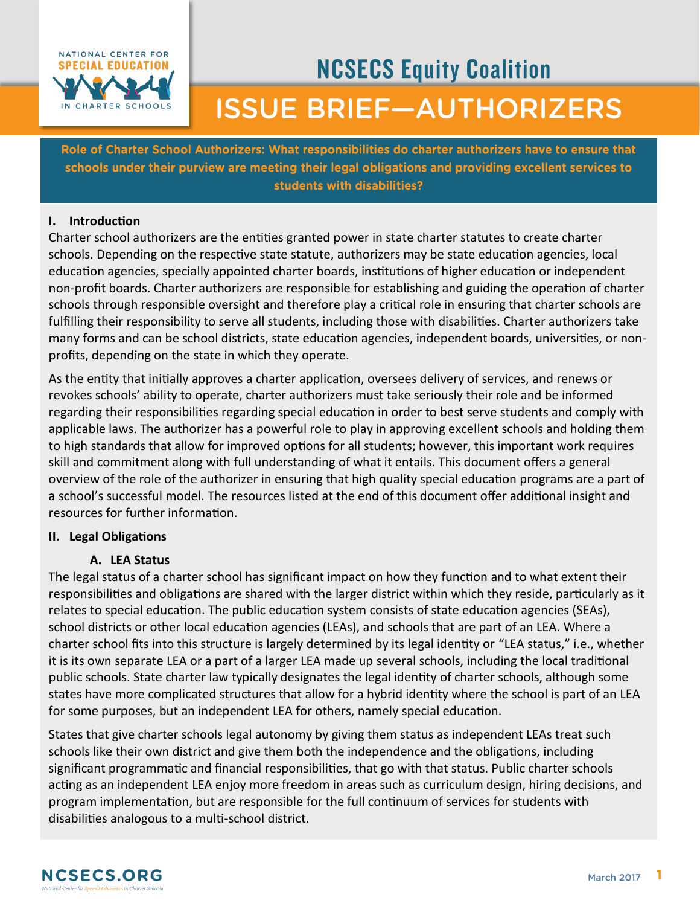

# **NCSECS Equity Coalition ISSUE BRIEF-AUTHORIZERS**

Role of Charter School Authorizers: What responsibilities do charter authorizers have to ensure that schools under their purview are meeting their legal obligations and providing excellent services to students with disabilities?

# **I. Introduction**

Charter school authorizers are the entities granted power in state charter statutes to create charter schools. Depending on the respective state statute, authorizers may be state education agencies, local education agencies, specially appointed charter boards, institutions of higher education or independent non-profit boards. Charter authorizers are responsible for establishing and guiding the operation of charter schools through responsible oversight and therefore play a critical role in ensuring that charter schools are fulfilling their responsibility to serve all students, including those with disabilities. Charter authorizers take many forms and can be school districts, state education agencies, independent boards, universities, or nonprofits, depending on the state in which they operate.

As the entity that initially approves a charter application, oversees delivery of services, and renews or revokes schools' ability to operate, charter authorizers must take seriously their role and be informed regarding their responsibilities regarding special education in order to best serve students and comply with applicable laws. The authorizer has a powerful role to play in approving excellent schools and holding them to high standards that allow for improved options for all students; however, this important work requires skill and commitment along with full understanding of what it entails. This document offers a general overview of the role of the authorizer in ensuring that high quality special education programs are a part of a school's successful model. The resources listed at the end of this document offer additional insight and resources for further information.

# **II. Legal Obligations**

# **A. LEA Status**

The legal status of a charter school has significant impact on how they function and to what extent their responsibilities and obligations are shared with the larger district within which they reside, particularly as it relates to special education. The public education system consists of state education agencies (SEAs), school districts or other local education agencies (LEAs), and schools that are part of an LEA. Where a charter school fits into this structure is largely determined by its legal identity or "LEA status," i.e., whether it is its own separate LEA or a part of a larger LEA made up several schools, including the local traditional public schools. State charter law typically designates the legal identity of charter schools, although some states have more complicated structures that allow for a hybrid identity where the school is part of an LEA for some purposes, but an independent LEA for others, namely special education.

States that give charter schools legal autonomy by giving them status as independent LEAs treat such schools like their own district and give them both the independence and the obligations, including significant programmatic and financial responsibilities, that go with that status. Public charter schools acting as an independent LEA enjoy more freedom in areas such as curriculum design, hiring decisions, and program implementation, but are responsible for the full continuum of services for students with disabilities analogous to a multi-school district.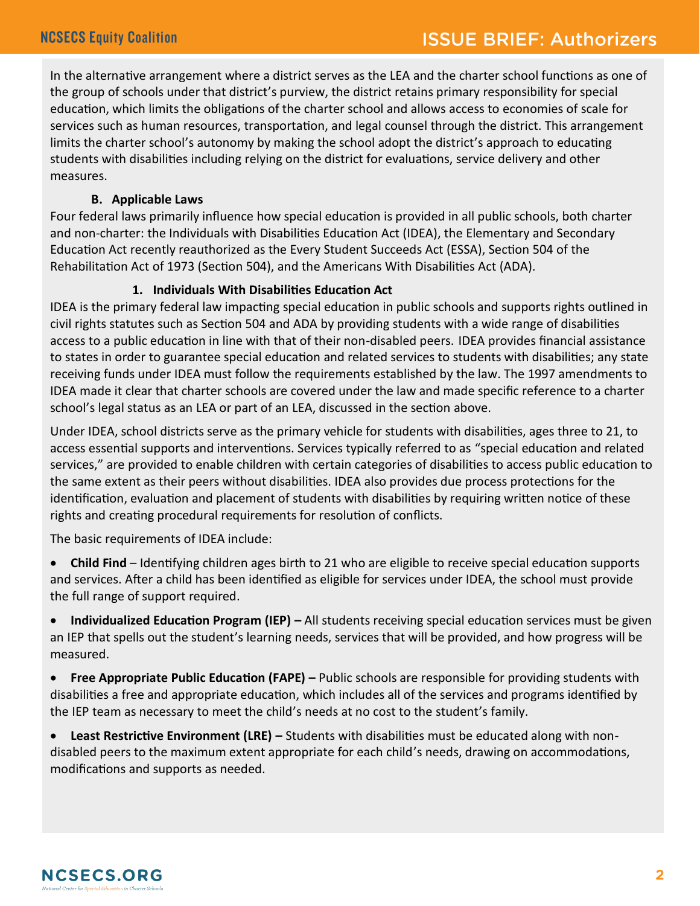In the alternative arrangement where a district serves as the LEA and the charter school functions as one of the group of schools under that district's purview, the district retains primary responsibility for special education, which limits the obligations of the charter school and allows access to economies of scale for services such as human resources, transportation, and legal counsel through the district. This arrangement limits the charter school's autonomy by making the school adopt the district's approach to educating students with disabilities including relying on the district for evaluations, service delivery and other measures.

# **B. Applicable Laws**

Four federal laws primarily influence how special education is provided in all public schools, both charter and non-charter: the Individuals with Disabilities Education Act (IDEA), the Elementary and Secondary Education Act recently reauthorized as the Every Student Succeeds Act (ESSA), Section 504 of the Rehabilitation Act of 1973 (Section 504), and the Americans With Disabilities Act (ADA).

# **1. Individuals With Disabilities Education Act**

IDEA is the primary federal law impacting special education in public schools and supports rights outlined in civil rights statutes such as Section 504 and ADA by providing students with a wide range of disabilities access to a public education in line with that of their non-disabled peers. IDEA provides financial assistance to states in order to guarantee special education and related services to students with disabilities; any state receiving funds under IDEA must follow the requirements established by the law. The 1997 amendments to IDEA made it clear that charter schools are covered under the law and made specific reference to a charter school's legal status as an LEA or part of an LEA, discussed in the section above.

Under IDEA, school districts serve as the primary vehicle for students with disabilities, ages three to 21, to access essential supports and interventions. Services typically referred to as "special education and related services," are provided to enable children with certain categories of disabilities to access public education to the same extent as their peers without disabilities. IDEA also provides due process protections for the identification, evaluation and placement of students with disabilities by requiring written notice of these rights and creating procedural requirements for resolution of conflicts.

The basic requirements of IDEA include:

 **Child Find** – Identifying children ages birth to 21 who are eligible to receive special education supports and services. After a child has been identified as eligible for services under IDEA, the school must provide the full range of support required.

 **Individualized Education Program (IEP) –** All students receiving special education services must be given an IEP that spells out the student's learning needs, services that will be provided, and how progress will be measured.

**Free Appropriate Public Education (FAPE)** – Public schools are responsible for providing students with disabilities a free and appropriate education, which includes all of the services and programs identified by the IEP team as necessary to meet the child's needs at no cost to the student's family.

 **Least Restrictive Environment (LRE) –** Students with disabilities must be educated along with nondisabled peers to the maximum extent appropriate for each child's needs, drawing on accommodations, modifications and supports as needed.

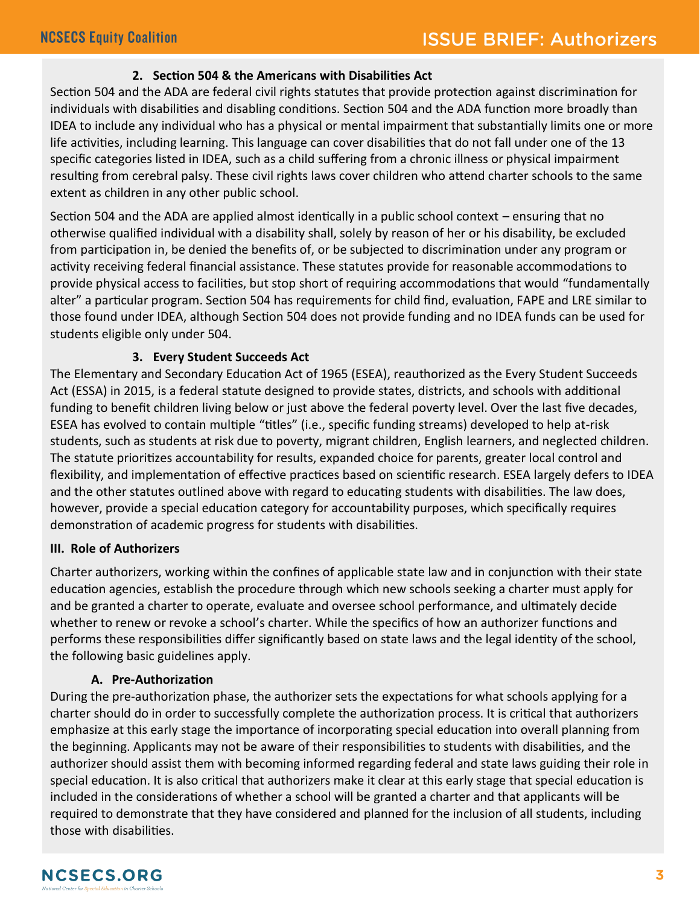# **2. Section 504 & the Americans with Disabilities Act**

Section 504 and the ADA are federal civil rights statutes that provide protection against discrimination for individuals with disabilities and disabling conditions. Section 504 and the ADA function more broadly than IDEA to include any individual who has a physical or mental impairment that substantially limits one or more life activities, including learning. This language can cover disabilities that do not fall under one of the 13 specific categories listed in IDEA, such as a child suffering from a chronic illness or physical impairment resulting from cerebral palsy. These civil rights laws cover children who attend charter schools to the same extent as children in any other public school.

Section 504 and the ADA are applied almost identically in a public school context – ensuring that no otherwise qualified individual with a disability shall, solely by reason of her or his disability, be excluded from participation in, be denied the benefits of, or be subjected to discrimination under any program or activity receiving federal financial assistance. These statutes provide for reasonable accommodations to provide physical access to facilities, but stop short of requiring accommodations that would "fundamentally alter" a particular program. Section 504 has requirements for child find, evaluation, FAPE and LRE similar to those found under IDEA, although Section 504 does not provide funding and no IDEA funds can be used for students eligible only under 504.

# **3. Every Student Succeeds Act**

The Elementary and Secondary Education Act of 1965 (ESEA), reauthorized as the Every Student Succeeds Act (ESSA) in 2015, is a federal statute designed to provide states, districts, and schools with additional funding to benefit children living below or just above the federal poverty level. Over the last five decades, ESEA has evolved to contain multiple "titles" (i.e., specific funding streams) developed to help at-risk students, such as students at risk due to poverty, migrant children, English learners, and neglected children. The statute prioritizes accountability for results, expanded choice for parents, greater local control and flexibility, and implementation of effective practices based on scientific research. ESEA largely defers to IDEA and the other statutes outlined above with regard to educating students with disabilities. The law does, however, provide a special education category for accountability purposes, which specifically requires demonstration of academic progress for students with disabilities.

#### **III. Role of Authorizers**

Charter authorizers, working within the confines of applicable state law and in conjunction with their state education agencies, establish the procedure through which new schools seeking a charter must apply for and be granted a charter to operate, evaluate and oversee school performance, and ultimately decide whether to renew or revoke a school's charter. While the specifics of how an authorizer functions and performs these responsibilities differ significantly based on state laws and the legal identity of the school, the following basic guidelines apply.

# **A. Pre-Authorization**

During the pre-authorization phase, the authorizer sets the expectations for what schools applying for a charter should do in order to successfully complete the authorization process. It is critical that authorizers emphasize at this early stage the importance of incorporating special education into overall planning from the beginning. Applicants may not be aware of their responsibilities to students with disabilities, and the authorizer should assist them with becoming informed regarding federal and state laws guiding their role in special education. It is also critical that authorizers make it clear at this early stage that special education is included in the considerations of whether a school will be granted a charter and that applicants will be required to demonstrate that they have considered and planned for the inclusion of all students, including those with disabilities.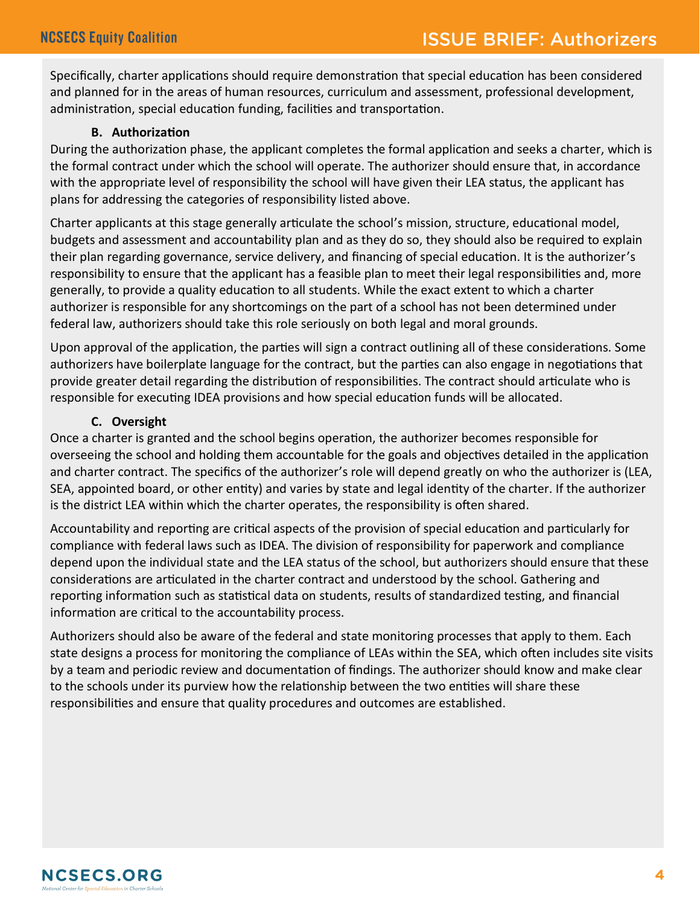Specifically, charter applications should require demonstration that special education has been considered and planned for in the areas of human resources, curriculum and assessment, professional development, administration, special education funding, facilities and transportation.

# **B. Authorization**

During the authorization phase, the applicant completes the formal application and seeks a charter, which is the formal contract under which the school will operate. The authorizer should ensure that, in accordance with the appropriate level of responsibility the school will have given their LEA status, the applicant has plans for addressing the categories of responsibility listed above.

Charter applicants at this stage generally articulate the school's mission, structure, educational model, budgets and assessment and accountability plan and as they do so, they should also be required to explain their plan regarding governance, service delivery, and financing of special education. It is the authorizer's responsibility to ensure that the applicant has a feasible plan to meet their legal responsibilities and, more generally, to provide a quality education to all students. While the exact extent to which a charter authorizer is responsible for any shortcomings on the part of a school has not been determined under federal law, authorizers should take this role seriously on both legal and moral grounds.

Upon approval of the application, the parties will sign a contract outlining all of these considerations. Some authorizers have boilerplate language for the contract, but the parties can also engage in negotiations that provide greater detail regarding the distribution of responsibilities. The contract should articulate who is responsible for executing IDEA provisions and how special education funds will be allocated.

# **C. Oversight**

Once a charter is granted and the school begins operation, the authorizer becomes responsible for overseeing the school and holding them accountable for the goals and objectives detailed in the application and charter contract. The specifics of the authorizer's role will depend greatly on who the authorizer is (LEA, SEA, appointed board, or other entity) and varies by state and legal identity of the charter. If the authorizer is the district LEA within which the charter operates, the responsibility is often shared.

Accountability and reporting are critical aspects of the provision of special education and particularly for compliance with federal laws such as IDEA. The division of responsibility for paperwork and compliance depend upon the individual state and the LEA status of the school, but authorizers should ensure that these considerations are articulated in the charter contract and understood by the school. Gathering and reporting information such as statistical data on students, results of standardized testing, and financial information are critical to the accountability process.

Authorizers should also be aware of the federal and state monitoring processes that apply to them. Each state designs a process for monitoring the compliance of LEAs within the SEA, which often includes site visits by a team and periodic review and documentation of findings. The authorizer should know and make clear to the schools under its purview how the relationship between the two entities will share these responsibilities and ensure that quality procedures and outcomes are established.